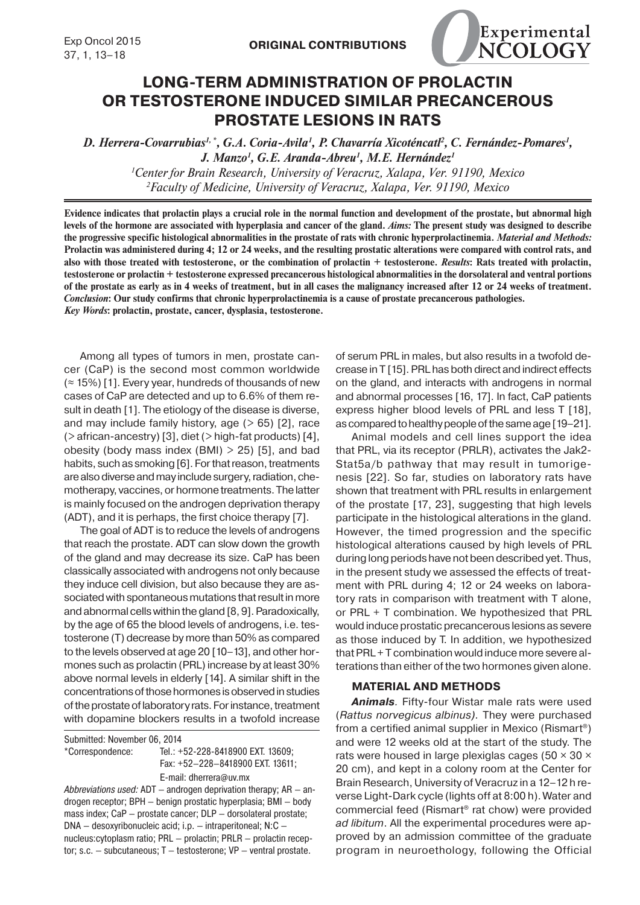

# **LONG-TERM ADMINISTRATION OF PROLACTIN OR TESTOSTERONE INDUCED SIMILAR PRECANCEROUS PROSTATE LESIONS IN RATS**

D. Herrera-Covarrubias<sup>1,\*</sup>, G.A. Coria-Avila<sup>1</sup>, P. Chavarría Xicoténcatl<sup>2</sup>, C. Fernández-Pomares<sup>1</sup>, *J. Manzo1 , G.E. Aranda-Abreu1 , M.E. Hernández1 1 Center for Brain Research, University of Veracruz, Xalapa, Ver. 91190, Mexico 2 Faculty of Medicine, University of Veracruz, Xalapa, Ver. 91190, Mexico*

**Evidence indicates that prolactin plays a crucial role in the normal function and development of the prostate, but abnormal high levels of the hormone are associated with hyperplasia and cancer of the gland.** *Aims:* **The present study was designed to describe the progressive specific histological abnormalities in the prostate of rats with chronic hyperprolactinemia.** *Material and Methods:* **Prolactin was administered during 4; 12 or 24 weeks, and the resulting prostatic alterations were compared with control rats, and also with those treated with testosterone, or the combination of prolactin + testosterone.** *Results***: Rats treated with prolactin, testosterone or prolactin + testosterone expressed precancerous histological abnormalities in the dorsolateral and ventral portions of the prostate as early as in 4 weeks of treatment, but in all cases the malignancy increased after 12 or 24 weeks of treatment.**  *Conclusion***: Our study confirms that chronic hyperprolactinemia is a cause of prostate precancerous pathologies.** *Key Words***: prolactin, prostate, cancer, dysplasia, testosterone.**

Among all types of tumors in men, prostate cancer (CaP) is the second most common worldwide  $($  ≈ 15%) [1]. Every year, hundreds of thousands of new cases of CaP are detected and up to 6.6% of them result in death [1]. The etiology of the disease is diverse, and may include family history, age  $(> 65)$  [2], race  $($  > african-ancestry) [3], diet  $($  > high-fat products) [4], obesity (body mass index  $(BMI) > 25$ ) [5], and bad habits, such as smoking [6]. For that reason, treatments are also diverse and may include surgery, radiation, chemotherapy, vaccines, or hormone treatments. The latter is mainly focused on the androgen deprivation therapy (ADT), and it is perhaps, the first choice therapy [7].

The goal of ADT is to reduce the levels of androgens that reach the prostate. ADT can slow down the growth of the gland and may decrease its size. CaP has been classically associated with androgens not only because they induce cell division, but also because they are associated with spontaneous mutations that result in more and abnormal cells within the gland [8, 9]. Paradoxically, by the age of 65 the blood levels of androgens, i.e. testosterone (T) decrease by more than 50% as compared to the levels observed at age 20 [10–13], and other hormones such as prolactin (PRL) increase by at least 30% above normal levels in elderly [14]. A similar shift in the concentrations of those hormones is observed in studies of the prostate of laboratory rats. For instance, treatment with dopamine blockers results in a twofold increase

Submitted: November 06, 2014

\*Correspondence: Tel.: +52-228-8418900 EXT. 13609;

 Fax: +52–228–8418900 EXT. 13611; E-mail: dherrera@uv.mx

Abbreviations used:  $ADT -$  androgen deprivation therapy;  $AR -$ androgen receptor; BPH — benign prostatic hyperplasia; BMI — body mass index; CaP – prostate cancer; DLP – dorsolateral prostate; DNA — desoxyribonucleic acid; i.p. — intraperitoneal; N:C nucleus:cytoplasm ratio; PRL — prolactin; PRLR — prolactin receptor; s.c. — subcutaneous; T — testosterone; VP — ventral prostate.

of serum PRL in males, but also results in a twofold decrease in T [15]. PRL has both direct and indirect effects on the gland, and interacts with androgens in normal and abnormal processes [16, 17]. In fact, CaP patients express higher blood levels of PRL and less T [18], as compared to healthy people of the same age [19–21].

Animal models and cell lines support the idea that PRL, via its receptor (PRLR), activates the Jak2- Stat5a/b pathway that may result in tumorigenesis [22]. So far, studies on laboratory rats have shown that treatment with PRL results in enlargement of the prostate [17, 23], suggesting that high levels participate in the histological alterations in the gland. However, the timed progression and the specific histological alterations caused by high levels of PRL during long periods have not been described yet. Thus, in the present study we assessed the effects of treatment with PRL during 4; 12 or 24 weeks on laboratory rats in comparison with treatment with T alone, or PRL + T combination. We hypothesized that PRL would induce prostatic precancerous lesions as severe as those induced by T. In addition, we hypothesized that PRL + T combination would induce more severe alterations than either of the two hormones given alone.

#### **MATERIAL AND METHODS**

*Animals.* Fifty-four Wistar male rats were used (*Rattus norvegicus albinus).* They were purchased from a certified animal supplier in Mexico (Rismart®) and were 12 weeks old at the start of the study. The rats were housed in large plexiglas cages ( $50 \times 30 \times$ 20 cm), and kept in a colony room at the Center for Brain Research, University of Veracruz in a 12–12 h reverse Light-Dark cycle (lights off at 8:00 h). Water and commercial feed (Rismart® rat chow) were provided *ad libitum*. All the experimental procedures were approved by an admission committee of the graduate program in neuroethology, following the Official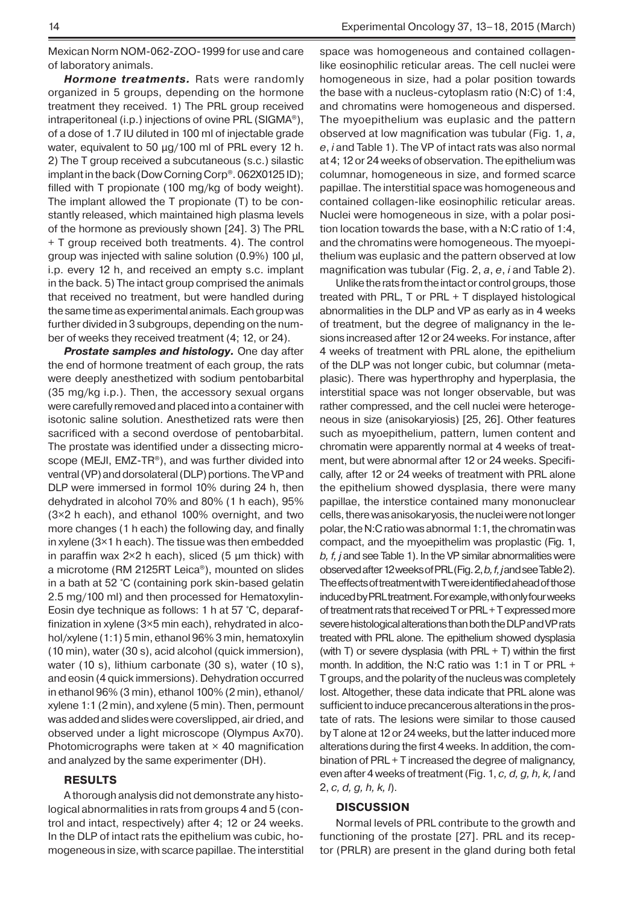Mexican Norm NOM-062-ZOO-1999 for use and care of laboratory animals.

*Hormone treatments.* Rats were randomly organized in 5 groups, depending on the hormone treatment they received. 1) The PRL group received intraperitoneal (i.p.) injections of ovine PRL (SIGMA®), of a dose of 1.7 IU diluted in 100 ml of injectable grade water, equivalent to 50 μg/100 ml of PRL every 12 h. 2) The T group received a subcutaneous (s.c.) silastic implant in the back (Dow Corning Corp®. 062X0125 ID); filled with T propionate (100 mg/kg of body weight). The implant allowed the T propionate (T) to be constantly released, which maintained high plasma levels of the hormone as previously shown [24]. 3) The PRL + T group received both treatments. 4). The control group was injected with saline solution (0.9%) 100 μl, i.p. every 12 h, and received an empty s.c. implant in the back. 5) The intact group comprised the animals that received no treatment, but were handled during the same time as experimental animals. Each group was further divided in 3 subgroups, depending on the number of weeks they received treatment (4; 12, or 24).

*Prostate samples and histology.* One day after the end of hormone treatment of each group, the rats were deeply anesthetized with sodium pentobarbital (35 mg/kg i.p.). Then, the accessory sexual organs were carefully removed and placed into a container with isotonic saline solution. Anesthetized rats were then sacrificed with a second overdose of pentobarbital. The prostate was identified under a dissecting microscope (MEJI, EMZ-TR®), and was further divided into ventral (VP) and dorsolateral (DLP) portions. The VP and DLP were immersed in formol 10% during 24 h, then dehydrated in alcohol 70% and 80% (1 h each), 95% (3×2 h each), and ethanol 100% overnight, and two more changes (1 h each) the following day, and finally in xylene (3×1 h each). The tissue was then embedded in paraffin wax  $2\times2$  h each), sliced (5  $\mu$ m thick) with a microtome (RM 2125RT Leica®), mounted on slides in a bath at 52 °C (containing pork skin-based gelatin 2.5 mg/100 ml) and then processed for Hematoxylin-Eosin dye technique as follows: 1 h at 57 °C, deparaffinization in xylene (3×5 min each), rehydrated in alcohol/xylene (1:1) 5 min, ethanol 96% 3 min, hematoxylin (10 min), water (30 s), acid alcohol (quick immersion), water (10 s), lithium carbonate (30 s), water (10 s), and eosin (4 quick immersions). Dehydration occurred in ethanol 96% (3 min), ethanol 100% (2 min), ethanol/ xylene 1:1 (2 min), and xylene (5 min). Then, permount was added and slides were coverslipped, air dried, and observed under a light microscope (Olympus Ax70). Photomicrographs were taken at  $\times$  40 magnification and analyzed by the same experimenter (DH).

# **RESULTS**

A thorough analysis did not demonstrate any histological abnormalities in rats from groups 4 and 5 (control and intact, respectively) after 4; 12 or 24 weeks. In the DLP of intact rats the epithelium was cubic, homogeneous in size, with scarce papillae. The interstitial space was homogeneous and contained collagenlike eosinophilic reticular areas. The cell nuclei were homogeneous in size, had a polar position towards the base with a nucleus-cytoplasm ratio (N:C) of 1:4, and chromatins were homogeneous and dispersed. The myoepithelium was euplasic and the pattern observed at low magnification was tubular (Fig. 1, *a*, *e*, *i* and Table 1). The VP of intact rats was also normal at 4; 12 or 24 weeks of observation. The epithelium was columnar, homogeneous in size, and formed scarce papillae. The interstitial space was homogeneous and contained collagen-like eosinophilic reticular areas. Nuclei were homogeneous in size, with a polar position location towards the base, with a N:C ratio of 1:4, and the chromatins were homogeneous. The myoepithelium was euplasic and the pattern observed at low magnification was tubular (Fig. 2, *a*, *e*, *i* and Table 2).

Unlike the rats from the intact or control groups, those treated with PRL, T or PRL + T displayed histological abnormalities in the DLP and VP as early as in 4 weeks of treatment, but the degree of malignancy in the lesions increased after 12 or 24 weeks. For instance, after 4 weeks of treatment with PRL alone, the epithelium of the DLP was not longer cubic, but columnar (metaplasic). There was hyperthrophy and hyperplasia, the interstitial space was not longer observable, but was rather compressed, and the cell nuclei were heterogeneous in size (anisokaryiosis) [25, 26]. Other features such as myoepithelium, pattern, lumen content and chromatin were apparently normal at 4 weeks of treatment, but were abnormal after 12 or 24 weeks. Specifically, after 12 or 24 weeks of treatment with PRL alone the epithelium showed dysplasia, there were many papillae, the interstice contained many mononuclear cells, there was anisokaryosis, the nuclei were not longer polar, the N:C ratio was abnormal 1:1, the chromatin was compact, and the myoepithelim was proplastic (Fig. 1, *b, f, j* and see Table 1). In the VP similar abnormalities were observed after 12 weeks of PRL (Fig. 2, *b, f, j* and see Table 2). The effects of treatment with T were identified ahead of those induced by PRL treatment. For example, with only four weeks of treatment rats that received T or PRL + T expressed more severe histological alterations than both the DLP and VP rats treated with PRL alone. The epithelium showed dysplasia (with T) or severe dysplasia (with  $PRL + T$ ) within the first month. In addition, the N:C ratio was 1:1 in T or PRL + T groups, and the polarity of the nucleus was completely lost. Altogether, these data indicate that PRL alone was sufficient to induce precancerous alterations in the prostate of rats. The lesions were similar to those caused by T alone at 12 or 24 weeks, but the latter induced more alterations during the first 4 weeks. In addition, the combination of PRL + T increased the degree of malignancy, even after 4 weeks of treatment (Fig. 1, *c, d, g, h, k, l* and 2, *c, d, g, h, k, l*).

## **DISCUSSION**

Normal levels of PRL contribute to the growth and functioning of the prostate [27]. PRL and its receptor (PRLR) are present in the gland during both fetal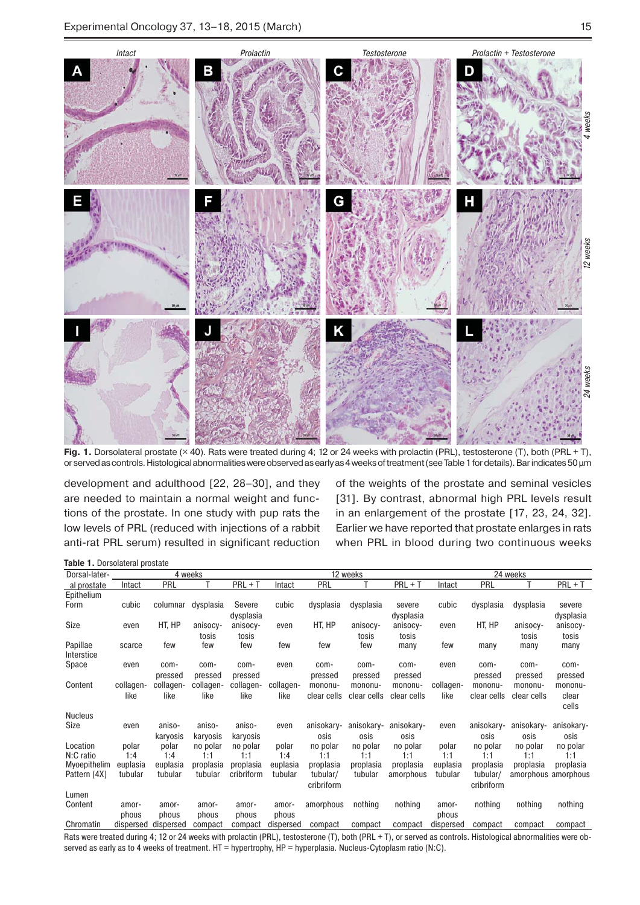

Fig. 1. Dorsolateral prostate (× 40). Rats were treated during 4; 12 or 24 weeks with prolactin (PRL), testosterone (T), both (PRL + T), or served as controls. Histological abnormalities were observed as early as 4 weeks of treatment (see Table 1 for details). Bar indicates 50 μm

development and adulthood [22, 28–30], and they are needed to maintain a normal weight and functions of the prostate. In one study with pup rats the low levels of PRL (reduced with injections of a rabbit anti-rat PRL serum) resulted in significant reduction

of the weights of the prostate and seminal vesicles [31]. By contrast, abnormal high PRL levels result in an enlargement of the prostate [17, 23, 24, 32]. Earlier we have reported that prostate enlarges in rats when PRL in blood during two continuous weeks

**Table 1.** Dorsolateral prostate

| Dorsal-later-    |                     |                     | 4 weeks              |                         |                     |             | 12 weeks    |             | 24 weeks            |                       |             |                                  |  |
|------------------|---------------------|---------------------|----------------------|-------------------------|---------------------|-------------|-------------|-------------|---------------------|-----------------------|-------------|----------------------------------|--|
| al prostate      | Intact              | PRL                 |                      | $PRI + T$               | Intact              | PRL         |             | $PRI + T$   | Intact              | PRL                   |             | $PRI + T$                        |  |
| Epithelium       |                     |                     |                      |                         |                     |             |             |             |                     |                       |             |                                  |  |
| Form             | cubic               | columnar            | dysplasia            | Severe                  | cubic               | dysplasia   | dysplasia   | severe      | cubic               | dysplasia             | dysplasia   | severe                           |  |
|                  |                     |                     |                      | dysplasia               |                     |             |             | dysplasia   |                     |                       |             | dysplasia                        |  |
| Size             | even                | HT, HP              | anisocy-             | anisocy-                | even                | HT, HP      | anisocy-    | anisocy-    | even                | HT, HP                | anisocy-    | anisocy-                         |  |
|                  |                     |                     | tosis                | tosis                   |                     |             | tosis       | tosis       |                     |                       | tosis       | tosis                            |  |
| Papillae         | scarce              | few                 | few                  | few                     | few                 | few         | few         | many        | few                 | many                  | many        | many                             |  |
| Interstice       |                     |                     |                      |                         |                     |             |             |             |                     |                       |             |                                  |  |
| Space            | even                | com-                | com-                 | com-                    | even                | com-        | com-        | com-        | even                | com-                  | com-        | com-                             |  |
|                  |                     | pressed             | pressed              | pressed                 |                     | pressed     | pressed     | pressed     |                     | pressed               | pressed     | pressed                          |  |
| Content          | collagen-           | collagen-           | collagen-            | collagen-               | collagen-           | mononu-     | mononu-     | mononu-     | collagen-           | mononu-               | mononu-     | mononu-                          |  |
|                  | like                | like                | like                 | like                    | like                | clear cells | clear cells | clear cells | like                | clear cells           | clear cells | clear                            |  |
|                  |                     |                     |                      |                         |                     |             |             |             |                     |                       |             | cells                            |  |
| <b>Nucleus</b>   |                     |                     |                      |                         |                     |             |             |             |                     |                       |             |                                  |  |
| Size             | even                | aniso-              | aniso-               | aniso-                  | even                | anisokary-  | anisokary-  | anisokary-  | even                | anisokary-            | anisokary-  | anisokary-                       |  |
|                  |                     | karyosis            | karyosis             | karyosis                |                     | osis        | osis        | osis        |                     | osis                  | osis        | osis                             |  |
| Location         | polar               | polar               | no polar             | no polar                | polar               | no polar    | no polar    | no polar    | polar               | no polar              | no polar    | no polar                         |  |
| N:C ratio        | 1:4                 | 1:4                 | 1:1                  | 1:1                     | 1:4                 | 1:1         | 1:1         | 1:1         | 1:1                 | 1:1                   | 1:1         | 1:1                              |  |
| Myoepithelim     | euplasia<br>tubular | euplasia<br>tubular | proplasia<br>tubular | proplasia<br>cribriform | euplasia<br>tubular | proplasia   | proplasia   | proplasia   | euplasia<br>tubular | proplasia<br>tubular/ | proplasia   | proplasia<br>amorphous amorphous |  |
| Pattern (4X)     |                     |                     |                      |                         |                     | tubular/    | tubular     | amorphous   |                     |                       |             |                                  |  |
|                  |                     |                     |                      |                         |                     | cribriform  |             |             |                     | cribriform            |             |                                  |  |
| Lumen<br>Content | amor-               | amor-               | amor-                | amor-                   | amor-               | amorphous   | nothing     | nothing     | amor-               | nothing               | nothing     | nothing                          |  |
|                  | phous               | phous               | phous                | phous                   |                     |             |             |             | phous               |                       |             |                                  |  |
| Chromatin        | dispersed           | dispersed           | compact              | compact                 | phous<br>dispersed  | compact     | compact     | compact     | dispersed           | compact               | compact     | compact                          |  |
|                  |                     |                     |                      |                         |                     |             |             |             |                     |                       |             |                                  |  |

Rats were treated during 4; 12 or 24 weeks with prolactin (PRL), testosterone (T), both (PRL + T), or served as controls. Histological abnormalities were observed as early as to 4 weeks of treatment. HT = hypertrophy, HP = hyperplasia. Nucleus-Cytoplasm ratio (N:C).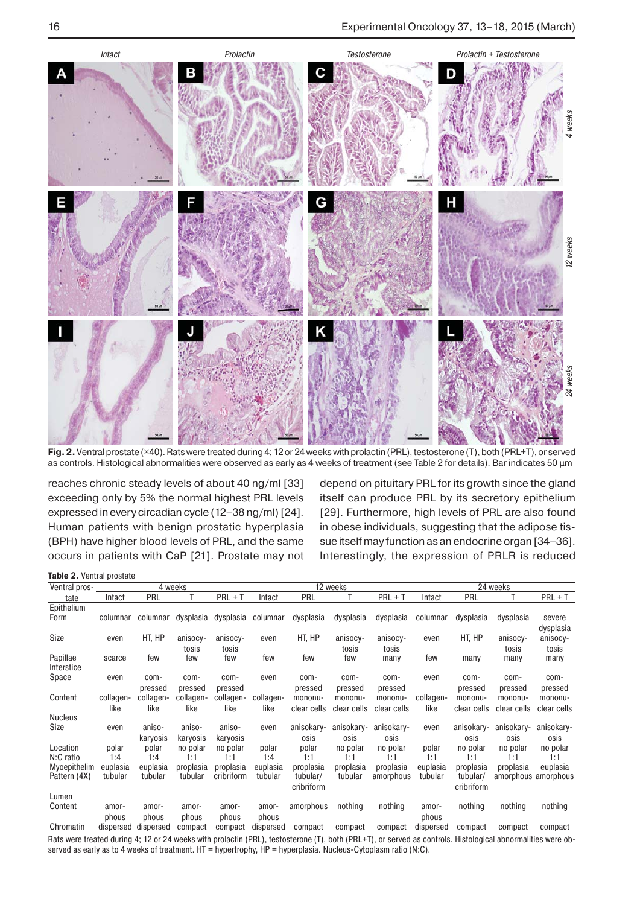

**Fig. 2.** Ventral prostate (×40). Rats were treated during 4; 12 or 24 weeks with prolactin (PRL), testosterone (T), both (PRL+T), or served as controls. Histological abnormalities were observed as early as 4 weeks of treatment (see Table 2 for details). Bar indicates 50 μm

reaches chronic steady levels of about 40 ng/ml [33] exceeding only by 5% the normal highest PRL levels expressed in every circadian cycle (12–38 ng/ml) [24]. Human patients with benign prostatic hyperplasia (BPH) have higher blood levels of PRL, and the same occurs in patients with CaP [21]. Prostate may not

depend on pituitary PRL for its growth since the gland itself can produce PRL by its secretory epithelium [29]. Furthermore, high levels of PRL are also found in obese individuals, suggesting that the adipose tissue itself may function as an endocrine organ [34–36]. Interestingly, the expression of PRLR is reduced

**Table 2.** Ventral prostate

| Ventral pros-    | 4 weeks            |                    |           |            |                    |             | 12 weeks    |             | 24 weeks  |             |             |                     |  |
|------------------|--------------------|--------------------|-----------|------------|--------------------|-------------|-------------|-------------|-----------|-------------|-------------|---------------------|--|
| tate             | Intact             | PRL                |           | $PRI + T$  | Intact             | PRL         |             | $PRI + T$   | Intact    | PRL         |             | $PRI + T$           |  |
| Epithelium       |                    |                    |           |            |                    |             |             |             |           |             |             |                     |  |
| Form             | columnar           | columnar           | dysplasia | dysplasia  | columnar           | dysplasia   | dysplasia   | dysplasia   | columnar  | dysplasia   | dysplasia   | severe              |  |
|                  |                    |                    |           |            |                    |             |             |             |           |             |             | dysplasia           |  |
| Size             | even               | HT, HP             | anisocy-  | anisocy-   | even               | HT, HP      | anisocy-    | anisocy-    | even      | HT, HP      | anisocy-    | anisocy-            |  |
|                  |                    |                    | tosis     | tosis      |                    |             | tosis       | tosis       |           |             | tosis       | tosis               |  |
| Papillae         | scarce             | few                | few       | few        | few                | few         | few         | many        | few       | many        | many        | many                |  |
| Interstice       |                    |                    |           |            |                    |             |             |             |           |             |             |                     |  |
| Space            | even               | com-               | com-      | com-       | even               | com-        | com-        | com-        | even      | com-        | com-        | com-                |  |
|                  |                    | pressed            | pressed   | pressed    |                    | pressed     | pressed     | pressed     |           | pressed     | pressed     | pressed             |  |
| Content          | collagen-          | collagen-          | collagen- | collagen-  | collagen-          | mononu-     | mononu-     | mononu-     | collagen- | mononu-     | mononu-     | mononu-             |  |
|                  | like               | like               | like      | like       | like               | clear cells | clear cells | clear cells | like      | clear cells | clear cells | clear cells         |  |
| <b>Nucleus</b>   |                    |                    |           |            |                    |             |             |             |           |             |             |                     |  |
| Size             | even               | aniso-             | aniso-    | aniso-     | even               | anisokary-  | anisokary-  | anisokary-  | even      | anisokary-  | anisokary-  | anisokary-          |  |
|                  |                    | karyosis           | karyosis  | karyosis   |                    | osis        | osis        | osis        |           | osis        | osis        | osis                |  |
| Location         | polar              | polar              | no polar  | no polar   | polar              | polar       | no polar    | no polar    | polar     | no polar    | no polar    | no polar            |  |
| N:C ratio        | 1:4                | 1:4                | 1:1       | 1:1        | 1:4                | 1:1         | 1:1         | 1:1         | 1:1       | 1:1         | 1:1         | 1:1                 |  |
| Myoepithelim     | euplasia           | euplasia           | proplasia | proplasia  | euplasia           | proplasia   | proplasia   | proplasia   | euplasia  | proplasia   | proplasia   | euplasia            |  |
| Pattern (4X)     | tubular            | tubular            | tubular   | cribriform | tubular            | tubular/    | tubular     | amorphous   | tubular   | tubular/    |             | amorphous amorphous |  |
|                  |                    |                    |           |            |                    | cribriform  |             |             |           | cribriform  |             |                     |  |
| Lumen<br>Content |                    |                    | amor-     |            |                    | amorphous   | nothing     | nothing     |           | nothing     | nothing     | nothing             |  |
|                  | amor-              | amor-              |           | amor-      | amor-              |             |             |             | amor-     |             |             |                     |  |
| Chromatin        | phous<br>dispersed | phous<br>dispersed | phous     | phous      | phous<br>dispersed | compact     | compact     | compact     | phous     |             |             |                     |  |
|                  |                    |                    | compact   | compact    |                    |             |             |             | dispersed | compact     | compact     | compact             |  |

Rats were treated during 4; 12 or 24 weeks with prolactin (PRL), testosterone (T), both (PRL+T), or served as controls. Histological abnormalities were ob-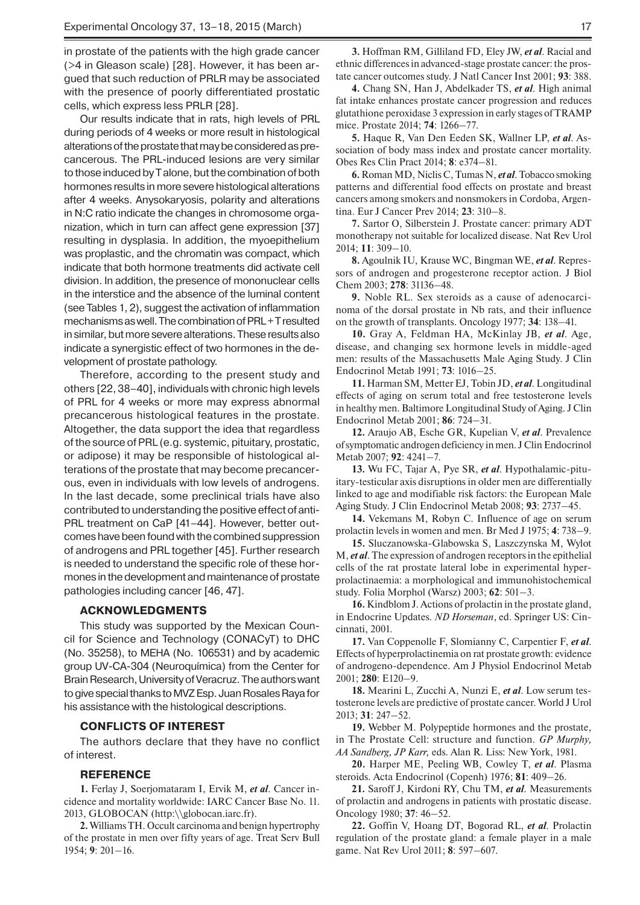in prostate of the patients with the high grade cancer (>4 in Gleason scale) [28]. However, it has been argued that such reduction of PRLR may be associated with the presence of poorly differentiated prostatic cells, which express less PRLR [28].

Our results indicate that in rats, high levels of PRL during periods of 4 weeks or more result in histological alterations of the prostate that may be considered as precancerous. The PRL-induced lesions are very similar to those induced by T alone, but the combination of both hormones results in more severe histological alterations after 4 weeks. Anysokaryosis, polarity and alterations in N:C ratio indicate the changes in chromosome organization, which in turn can affect gene expression [37] resulting in dysplasia. In addition, the myoepithelium was proplastic, and the chromatin was compact, which indicate that both hormone treatments did activate cell division. In addition, the presence of mononuclear cells in the interstice and the absence of the luminal content (see Tables 1, 2), suggest the activation of inflammation mechanisms as well. The combination of PRL + T resulted in similar, but more severe alterations. These results also indicate a synergistic effect of two hormones in the development of prostate pathology.

Therefore, according to the present study and others [22, 38–40], individuals with chronic high levels of PRL for 4 weeks or more may express abnormal precancerous histological features in the prostate. Altogether, the data support the idea that regardless of the source of PRL (e.g. systemic, pituitary, prostatic, or adipose) it may be responsible of histological alterations of the prostate that may become precancerous, even in individuals with low levels of androgens. In the last decade, some preclinical trials have also contributed to understanding the positive effect of anti-PRL treatment on CaP [41-44]. However, better outcomes have been found with the combined suppression of androgens and PRL together [45]. Further research is needed to understand the specific role of these hormones in the development and maintenance of prostate pathologies including cancer [46, 47].

### **ACKNOWLEDGMENTS**

This study was supported by the Mexican Council for Science and Technology (CONACyT) to DHC (No. 35258), to MEHA (No. 106531) and by academic group UV-CA-304 (Neuroquímica) from the Center for Brain Research, University of Veracruz. The authors want to give special thanks to MVZ Esp. Juan Rosales Raya for his assistance with the histological descriptions.

#### **CONFLICTS OF INTEREST**

The authors declare that they have no conflict of interest.

#### **REFERENCE**

**1.** Ferlay J, Soerjomataram I, Ervik M, *et al*. Cancer incidence and mortality worldwide: IARC Cancer Base No. 11. 2013, GLOBOCAN (http:\\globocan.iarc.fr).

**2.** Williams TH. Occult carcinoma and benign hypertrophy of the prostate in men over fifty years of age. Treat Serv Bull 1954; **9**: 201–16.

**4.** Chang SN, Han J, Abdelkader TS, *et al*. High animal fat intake enhances prostate cancer progression and reduces glutathione peroxidase 3 expression in early stages of TRAMP mice. Prostate 2014; **74**: 1266–77.

**5.** Haque R, Van Den Eeden SK, Wallner LP, *et al*. Association of body mass index and prostate cancer mortality. Obes Res Clin Pract 2014; **8**: e374–81.

**6.** Roman MD, Niclis C, Tumas N, *et al*. Tobacco smoking patterns and differential food effects on prostate and breast cancers among smokers and nonsmokers in Cordoba, Argentina. Eur J Cancer Prev 2014; **23**: 310–8.

**7.** Sartor O, Silberstein J. Prostate cancer: primary ADT monotherapy not suitable for localized disease. Nat Rev Urol 2014; **11**: 309–10.

**8.** Agoulnik IU, Krause WC, Bingman WE, *et al*. Repressors of androgen and progesterone receptor action. J Biol Chem 2003; **278**: 31136–48.

**9.** Noble RL. Sex steroids as a cause of adenocarcinoma of the dorsal prostate in Nb rats, and their influence on the growth of transplants. Oncology 1977; **34**: 138–41.

**10.** Gray A, Feldman HA, McKinlay JB, *et al*. Age, disease, and changing sex hormone levels in middle-aged men: results of the Massachusetts Male Aging Study. J Clin Endocrinol Metab 1991; **73**: 1016–25.

**11.** Harman SM, Metter EJ, Tobin JD, *et al*. Longitudinal effects of aging on serum total and free testosterone levels in healthy men. Baltimore Longitudinal Study of Aging. J Clin Endocrinol Metab 2001; **86**: 724–31.

**12.** Araujo AB, Esche GR, Kupelian V, *et al*. Prevalence of symptomatic androgen deficiency in men. J Clin Endocrinol Metab 2007; **92**: 4241–7.

**13.** Wu FC, Tajar A, Pye SR, *et al*. Hypothalamic-pituitary-testicular axis disruptions in older men are differentially linked to age and modifiable risk factors: the European Male Aging Study. J Clin Endocrinol Metab 2008; **93**: 2737–45.

**14.** Vekemans M, Robyn C. Influence of age on serum prolactin levels in women and men. Br Med J 1975; **4**: 738–9.

**15.** Sluczanowska-Glabowska S, Laszczynska M, Wylot M, *et al*. The expression of androgen receptors in the epithelial cells of the rat prostate lateral lobe in experimental hyperprolactinaemia: a morphological and immunohistochemical study. Folia Morphol (Warsz) 2003; **62**: 501–3.

**16.** Kindblom J. Actions of prolactin in the prostate gland, in Endocrine Updates. *ND Horseman*, ed. Springer US: Cincinnati, 2001.

**17.** Van Coppenolle F, Slomianny C, Carpentier F, *et al*. Effects of hyperprolactinemia on rat prostate growth: evidence of androgeno-dependence. Am J Physiol Endocrinol Metab 2001; **280**: E120–9.

**18.** Mearini L, Zucchi A, Nunzi E, *et al*. Low serum testosterone levels are predictive of prostate cancer. World J Urol 2013; **31**: 247–52.

**19.** Webber M. Polypeptide hormones and the prostate, in The Prostate Cell: structure and function. *GP Murphy, AA Sandberg, JP Karr,* eds. Alan R. Liss: New York, 1981.

**20.** Harper ME, Peeling WB, Cowley T, *et al*. Plasma steroids. Acta Endocrinol (Copenh) 1976; **81**: 409–26.

**21.** Saroff J, Kirdoni RY, Chu TM, *et al*. Measurements of prolactin and androgens in patients with prostatic disease. Oncology 1980; **37**: 46–52.

**22.** Goffin V, Hoang DT, Bogorad RL, *et al*. Prolactin regulation of the prostate gland: a female player in a male game. Nat Rev Urol 2011; **8**: 597–607.